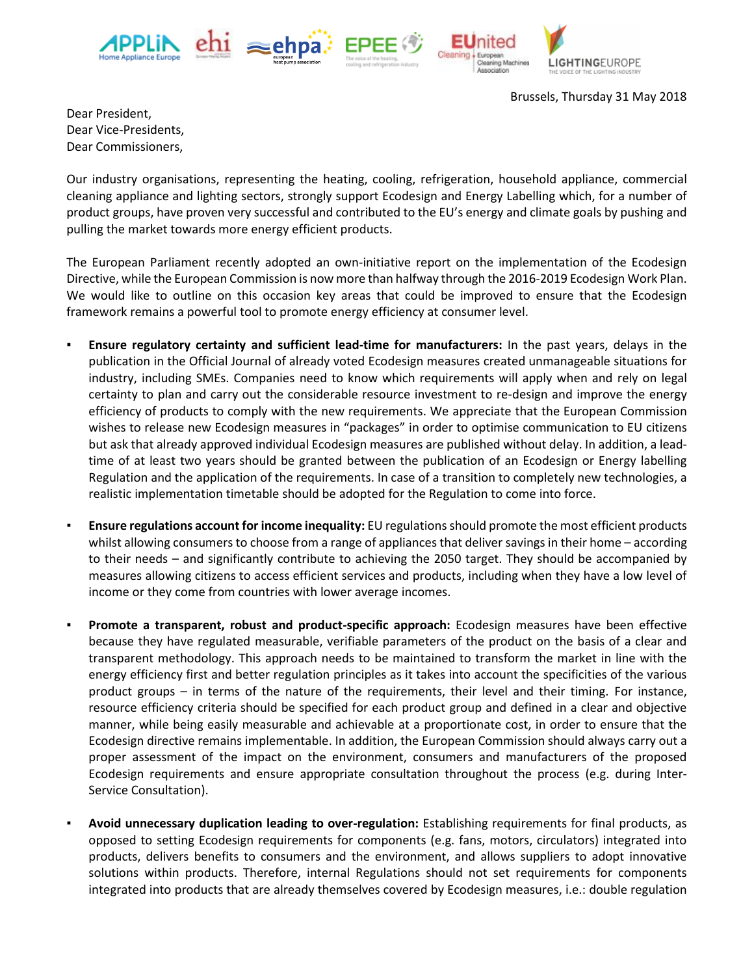





**LIGHTINGEUROPE** 

Brussels, Thursday 31 May 2018

Dear President, Dear Vice-Presidents, Dear Commissioners,

Our industry organisations, representing the heating, cooling, refrigeration, household appliance, commercial cleaning appliance and lighting sectors, strongly support Ecodesign and Energy Labelling which, for a number of product groups, have proven very successful and contributed to the EU's energy and climate goals by pushing and pulling the market towards more energy efficient products.

The European Parliament recently adopted an own-initiative report on the implementation of the Ecodesign Directive, while the European Commission is now more than halfway through the 2016-2019 Ecodesign Work Plan. We would like to outline on this occasion key areas that could be improved to ensure that the Ecodesign framework remains a powerful tool to promote energy efficiency at consumer level.

- **Ensure regulatory certainty and sufficient lead-time for manufacturers:** In the past years, delays in the publication in the Official Journal of already voted Ecodesign measures created unmanageable situations for industry, including SMEs. Companies need to know which requirements will apply when and rely on legal certainty to plan and carry out the considerable resource investment to re-design and improve the energy efficiency of products to comply with the new requirements. We appreciate that the European Commission wishes to release new Ecodesign measures in "packages" in order to optimise communication to EU citizens but ask that already approved individual Ecodesign measures are published without delay. In addition, a leadtime of at least two years should be granted between the publication of an Ecodesign or Energy labelling Regulation and the application of the requirements. In case of a transition to completely new technologies, a realistic implementation timetable should be adopted for the Regulation to come into force.
- **Ensure regulations account for income inequality:** EU regulations should promote the most efficient products whilst allowing consumers to choose from a range of appliances that deliver savings in their home – according to their needs – and significantly contribute to achieving the 2050 target. They should be accompanied by measures allowing citizens to access efficient services and products, including when they have a low level of income or they come from countries with lower average incomes.
- Promote a transparent, robust and product-specific approach: Ecodesign measures have been effective because they have regulated measurable, verifiable parameters of the product on the basis of a clear and transparent methodology. This approach needs to be maintained to transform the market in line with the energy efficiency first and better regulation principles as it takes into account the specificities of the various product groups – in terms of the nature of the requirements, their level and their timing. For instance, resource efficiency criteria should be specified for each product group and defined in a clear and objective manner, while being easily measurable and achievable at a proportionate cost, in order to ensure that the Ecodesign directive remains implementable. In addition, the European Commission should always carry out a proper assessment of the impact on the environment, consumers and manufacturers of the proposed Ecodesign requirements and ensure appropriate consultation throughout the process (e.g. during Inter-Service Consultation).
- **Avoid unnecessary duplication leading to over-regulation:** Establishing requirements for final products, as opposed to setting Ecodesign requirements for components (e.g. fans, motors, circulators) integrated into products, delivers benefits to consumers and the environment, and allows suppliers to adopt innovative solutions within products. Therefore, internal Regulations should not set requirements for components integrated into products that are already themselves covered by Ecodesign measures, i.e.: double regulation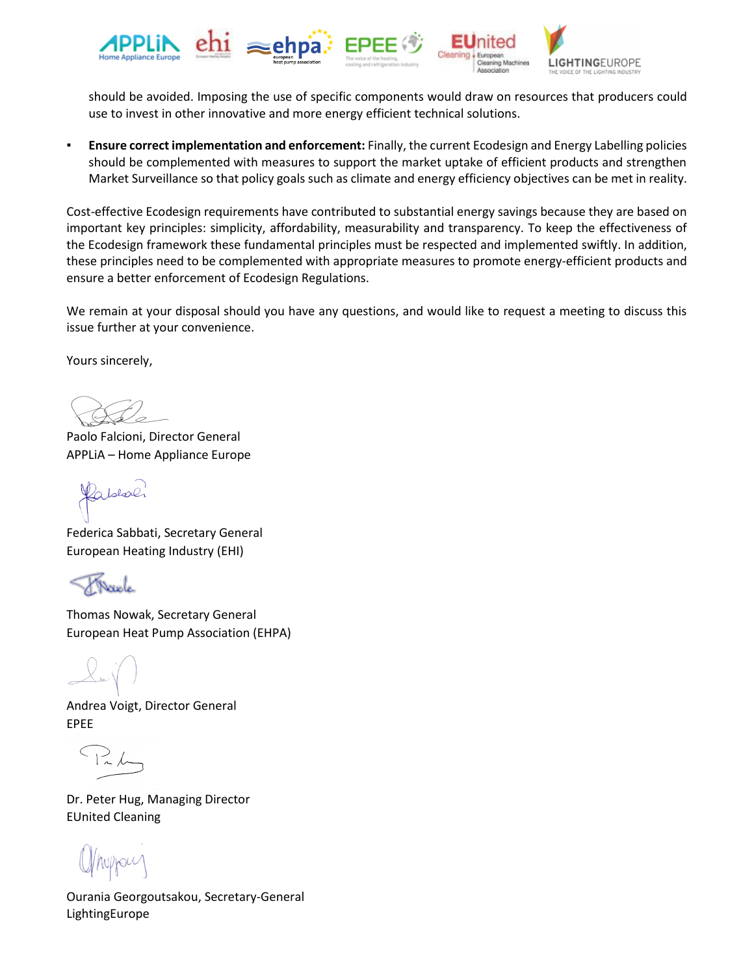

should be avoided. Imposing the use of specific components would draw on resources that producers could use to invest in other innovative and more energy efficient technical solutions.

▪ **Ensure correct implementation and enforcement:** Finally, the current Ecodesign and Energy Labelling policies should be complemented with measures to support the market uptake of efficient products and strengthen Market Surveillance so that policy goals such as climate and energy efficiency objectives can be met in reality.

Cost-effective Ecodesign requirements have contributed to substantial energy savings because they are based on important key principles: simplicity, affordability, measurability and transparency. To keep the effectiveness of the Ecodesign framework these fundamental principles must be respected and implemented swiftly. In addition, these principles need to be complemented with appropriate measures to promote energy-efficient products and ensure a better enforcement of Ecodesign Regulations.

We remain at your disposal should you have any questions, and would like to request a meeting to discuss this issue further at your convenience.

Yours sincerely,

Paolo Falcioni, Director General APPLiA – Home Appliance Europe

abboli

Federica Sabbati, Secretary General European Heating Industry (EHI)

Thomas Nowak, Secretary General European Heat Pump Association (EHPA)

Andrea Voigt, Director General EPEE

 $126$ 

Dr. Peter Hug, Managing Director EUnited Cleaning

Ourania Georgoutsakou, Secretary-General LightingEurope